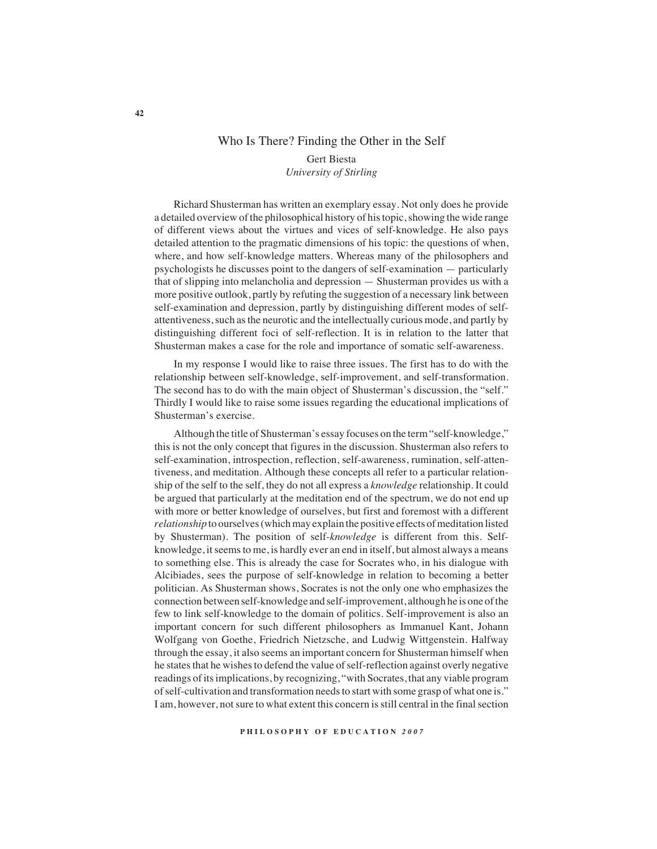# Who Is There? Finding the Other in the Self

## Gert Biesta *University of Stirling*

Richard Shusterman has written an exemplary essay. Not only does he provide a detailed overview of the philosophical history of his topic, showing the wide range of different views about the virtues and vices of self-knowledge. He also pays detailed attention to the pragmatic dimensions of his topic: the questions of when, where, and how self-knowledge matters. Whereas many of the philosophers and psychologists he discusses point to the dangers of self-examination — particularly that of slipping into melancholia and depression — Shusterman provides us with a more positive outlook, partly by refuting the suggestion of a necessary link between self-examination and depression, partly by distinguishing different modes of selfattentiveness, such as the neurotic and the intellectually curious mode, and partly by distinguishing different foci of self-reflection. It is in relation to the latter that Shusterman makes a case for the role and importance of somatic self-awareness.

In my response I would like to raise three issues. The first has to do with the relationship between self-knowledge, self-improvement, and self-transformation. The second has to do with the main object of Shusterman's discussion, the "self." Thirdly I would like to raise some issues regarding the educational implications of Shusterman's exercise.

Although the title of Shusterman's essay focuses on the term "self-knowledge," this is not the only concept that figures in the discussion. Shusterman also refers to self-examination, introspection, reflection, self-awareness, rumination, self-attentiveness, and meditation. Although these concepts all refer to a particular relationship of the self to the self, they do not all express a *knowledge* relationship. It could be argued that particularly at the meditation end of the spectrum, we do not end up with more or better knowledge of ourselves, but first and foremost with a different *relationship* to ourselves (which may explain the positive effects of meditation listed by Shusterman). The position of self-*knowledge* is different from this. Selfknowledge, it seems to me, is hardly ever an end in itself, but almost always a means to something else. This is already the case for Socrates who, in his dialogue with Alcibiades, sees the purpose of self-knowledge in relation to becoming a better politician. As Shusterman shows, Socrates is not the only one who emphasizes the connection between self-knowledge and self-improvement, although he is one of the few to link self-knowledge to the domain of politics. Self-improvement is also an important concern for such different philosophers as Immanuel Kant, Johann Wolfgang von Goethe, Friedrich Nietzsche, and Ludwig Wittgenstein. Halfway through the essay, it also seems an important concern for Shusterman himself when he states that he wishes to defend the value of self-reflection against overly negative readings of its implications, by recognizing, "with Socrates, that any viable program of self-cultivation and transformation needs to start with some grasp of what one is." I am, however, not sure to what extent this concern is still central in the final section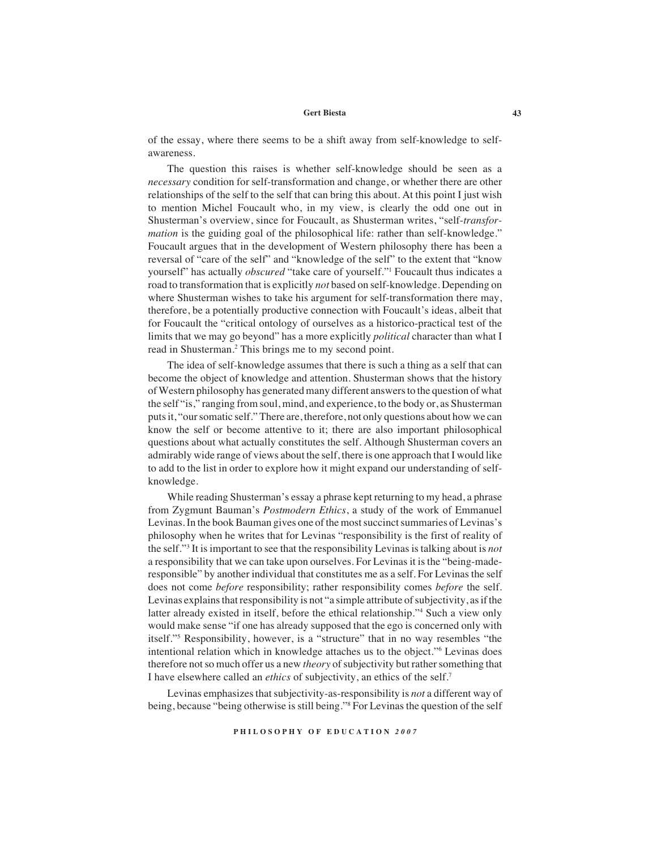### **Gert Biesta 43**

of the essay, where there seems to be a shift away from self-knowledge to selfawareness.

The question this raises is whether self-knowledge should be seen as a *necessary* condition for self-transformation and change, or whether there are other relationships of the self to the self that can bring this about. At this point I just wish to mention Michel Foucault who, in my view, is clearly the odd one out in Shusterman's overview, since for Foucault, as Shusterman writes, "self-*transformation* is the guiding goal of the philosophical life: rather than self-knowledge." Foucault argues that in the development of Western philosophy there has been a reversal of "care of the self" and "knowledge of the self" to the extent that "know yourself" has actually *obscured* "take care of yourself."1 Foucault thus indicates a road to transformation that is explicitly *not* based on self-knowledge. Depending on where Shusterman wishes to take his argument for self-transformation there may, therefore, be a potentially productive connection with Foucault's ideas, albeit that for Foucault the "critical ontology of ourselves as a historico-practical test of the limits that we may go beyond" has a more explicitly *political* character than what I read in Shusterman.<sup>2</sup> This brings me to my second point.

The idea of self-knowledge assumes that there is such a thing as a self that can become the object of knowledge and attention. Shusterman shows that the history of Western philosophy has generated many different answers to the question of what the self "is," ranging from soul, mind, and experience, to the body or, as Shusterman puts it, "our somatic self." There are, therefore, not only questions about how we can know the self or become attentive to it; there are also important philosophical questions about what actually constitutes the self. Although Shusterman covers an admirably wide range of views about the self, there is one approach that I would like to add to the list in order to explore how it might expand our understanding of selfknowledge.

While reading Shusterman's essay a phrase kept returning to my head, a phrase from Zygmunt Bauman's *Postmodern Ethics*, a study of the work of Emmanuel Levinas. In the book Bauman gives one of the most succinct summaries of Levinas's philosophy when he writes that for Levinas "responsibility is the first of reality of the self."3 It is important to see that the responsibility Levinas is talking about is *not* a responsibility that we can take upon ourselves. For Levinas it is the "being-maderesponsible" by another individual that constitutes me as a self. For Levinas the self does not come *before* responsibility; rather responsibility comes *before* the self. Levinas explains that responsibility is not "a simple attribute of subjectivity, as if the latter already existed in itself, before the ethical relationship."4 Such a view only would make sense "if one has already supposed that the ego is concerned only with itself."5 Responsibility, however, is a "structure" that in no way resembles "the intentional relation which in knowledge attaches us to the object."6 Levinas does therefore not so much offer us a new *theory* of subjectivity but rather something that I have elsewhere called an *ethics* of subjectivity, an ethics of the self.7

Levinas emphasizes that subjectivity-as-responsibility is *not* a different way of being, because "being otherwise is still being."8 For Levinas the question of the self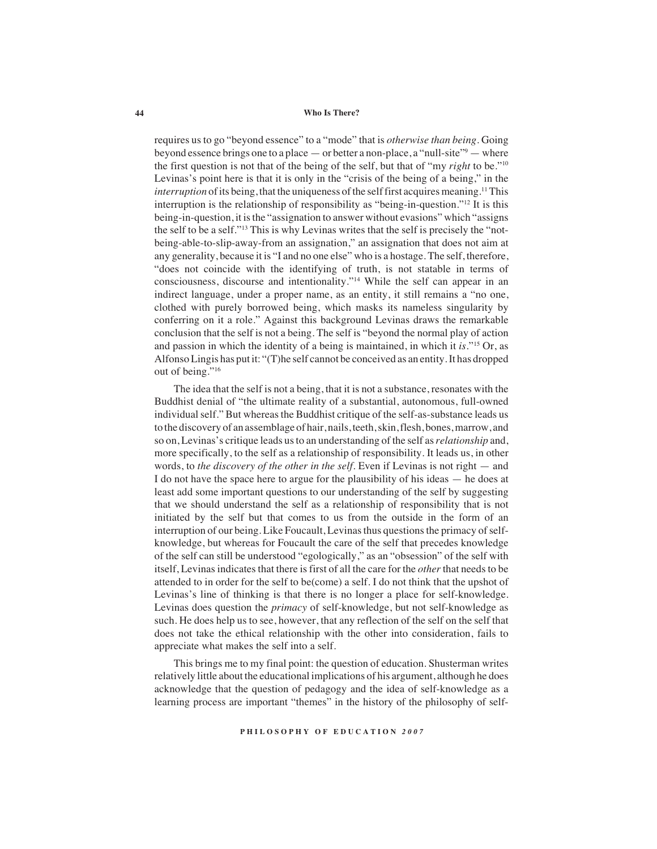#### **44 Who Is There?**

requires us to go "beyond essence" to a "mode" that is *otherwise than being*. Going beyond essence brings one to a place — or better a non-place, a "null-site" 9 — where the first question is not that of the being of the self, but that of "my *right* to be."10 Levinas's point here is that it is only in the "crisis of the being of a being," in the *interruption* of its being, that the uniqueness of the self first acquires meaning.<sup>11</sup> This interruption is the relationship of responsibility as "being-in-question."12 It is this being-in-question, it is the "assignation to answer without evasions" which "assigns the self to be a self."13 This is why Levinas writes that the self is precisely the "notbeing-able-to-slip-away-from an assignation," an assignation that does not aim at any generality, because it is "I and no one else" who is a hostage. The self, therefore, "does not coincide with the identifying of truth, is not statable in terms of consciousness, discourse and intentionality."14 While the self can appear in an indirect language, under a proper name, as an entity, it still remains a "no one, clothed with purely borrowed being, which masks its nameless singularity by conferring on it a role." Against this background Levinas draws the remarkable conclusion that the self is not a being. The self is "beyond the normal play of action and passion in which the identity of a being is maintained, in which it *is.*"15 Or, as Alfonso Lingis has put it: "(T)he self cannot be conceived as an entity. It has dropped out of being."<sup>16</sup>

The idea that the self is not a being, that it is not a substance, resonates with the Buddhist denial of "the ultimate reality of a substantial, autonomous, full-owned individual self." But whereas the Buddhist critique of the self-as-substance leads us to the discovery of an assemblage of hair, nails, teeth, skin, flesh, bones, marrow, and so on, Levinas's critique leads us to an understanding of the self as *relationship* and, more specifically, to the self as a relationship of responsibility. It leads us, in other words, to *the discovery of the other in the self*. Even if Levinas is not right — and I do not have the space here to argue for the plausibility of his ideas — he does at least add some important questions to our understanding of the self by suggesting that we should understand the self as a relationship of responsibility that is not initiated by the self but that comes to us from the outside in the form of an interruption of our being. Like Foucault, Levinas thus questions the primacy of selfknowledge, but whereas for Foucault the care of the self that precedes knowledge of the self can still be understood "egologically," as an "obsession" of the self with itself, Levinas indicates that there is first of all the care for the *other* that needs to be attended to in order for the self to be(come) a self. I do not think that the upshot of Levinas's line of thinking is that there is no longer a place for self-knowledge. Levinas does question the *primacy* of self-knowledge, but not self-knowledge as such. He does help us to see, however, that any reflection of the self on the self that does not take the ethical relationship with the other into consideration, fails to appreciate what makes the self into a self.

This brings me to my final point: the question of education. Shusterman writes relatively little about the educational implications of his argument, although he does acknowledge that the question of pedagogy and the idea of self-knowledge as a learning process are important "themes" in the history of the philosophy of self-

**P H I L O S O P H Y O F E D U C A T I O N** *2 0 0 7*